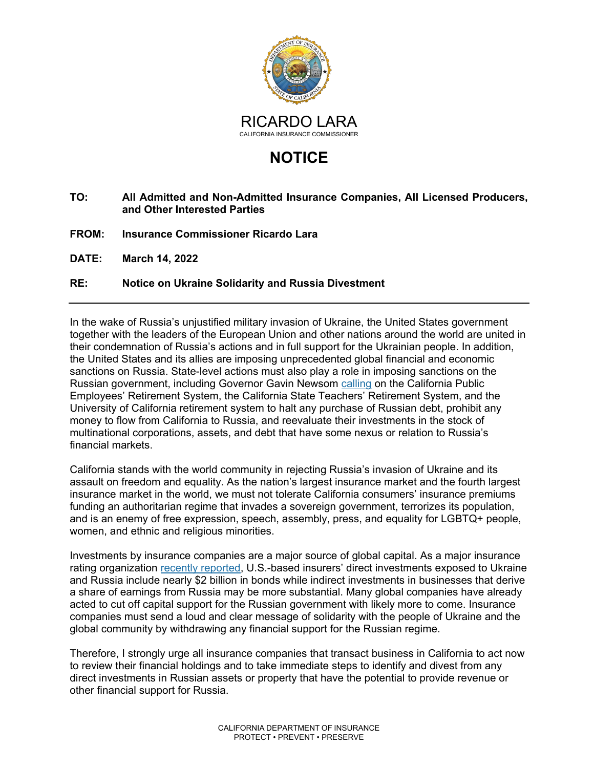

## **NOTICE**

## **TO: All Admitted and Non-Admitted Insurance Companies, All Licensed Producers, and Other Interested Parties**

- **FROM: Insurance Commissioner Ricardo Lara**
- **DATE: March 14, 2022**

## **RE: Notice on Ukraine Solidarity and Russia Divestment**

In the wake of Russia's unjustified military invasion of Ukraine, the United States government together with the leaders of the European Union and other nations around the world are united in their condemnation of Russia's actions and in full support for the Ukrainian people. In addition, the United States and its allies are imposing unprecedented global financial and economic sanctions on Russia. State-level actions must also play a role in imposing sanctions on the Russian government, including Governor Gavin Newsom [calling](https://www.gov.ca.gov/wp-content/uploads/2022/03/2.28.22-Investments-Letter.pdf) on the California Public Employees' Retirement System, the California State Teachers' Retirement System, and the University of California retirement system to halt any purchase of Russian debt, prohibit any money to flow from California to Russia, and reevaluate their investments in the stock of multinational corporations, assets, and debt that have some nexus or relation to Russia's financial markets.

California stands with the world community in rejecting Russia's invasion of Ukraine and its assault on freedom and equality. As the nation's largest insurance market and the fourth largest insurance market in the world, we must not tolerate California consumers' insurance premiums funding an authoritarian regime that invades a sovereign government, terrorizes its population, and is an enemy of free expression, speech, assembly, press, and equality for LGBTQ+ people, women, and ethnic and religious minorities.

Investments by insurance companies are a major source of global capital. As a major insurance rating organization [recently reported,](https://news.ambest.com/PressContent.aspx?altsrc=165&refnum=31800) U.S.-based insurers' direct investments exposed to Ukraine and Russia include nearly \$2 billion in bonds while indirect investments in businesses that derive a share of earnings from Russia may be more substantial. Many global companies have already acted to cut off capital support for the Russian government with likely more to come. Insurance companies must send a loud and clear message of solidarity with the people of Ukraine and the global community by withdrawing any financial support for the Russian regime.

Therefore, I strongly urge all insurance companies that transact business in California to act now to review their financial holdings and to take immediate steps to identify and divest from any direct investments in Russian assets or property that have the potential to provide revenue or other financial support for Russia.